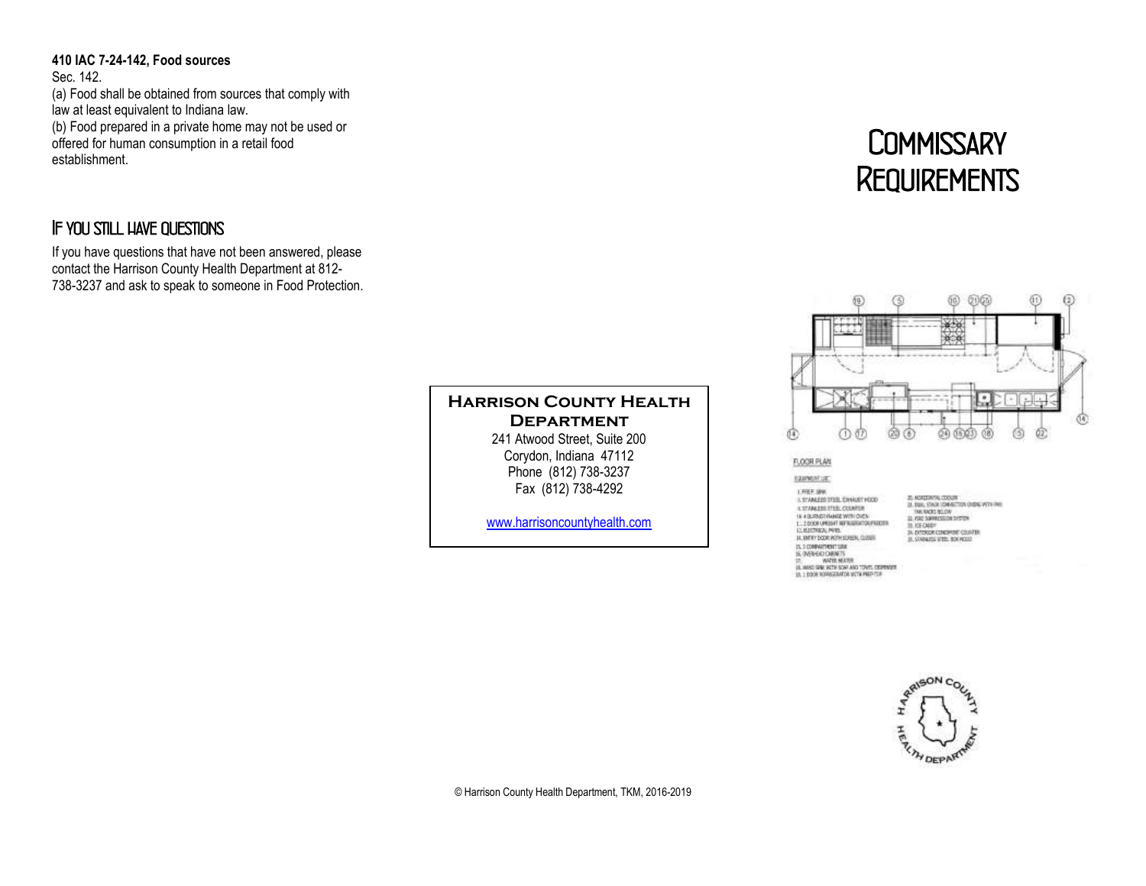**410 IAC 7-24-142, Food sources**  Sec. 142. (a) Food shall be obtained from sources that comply with law at least equivalent to Indiana law. (b) Food prepared in a private home may not be used or offered for human consumption in a retail food establishment.

## *If you still have questions*

If you have questions that have not been answered, please contact the Harrison County Health Department at 812- 738-3237 and ask to speak to someone in Food Protection.

### **Harrison County Health Department** 241 Atwood Street, Suite 200 Corydon, Indiana 47112

Phone (812) 738-3237 Fax (812) 738-4292

[www.harrisoncountyhealth.com](http://www.harrisoncountyhealth.com/)

# *Commissary Requirements*



#### FLOOR PLAN

#### EQUINENTURE

LIFEF, SPR.<br>1. STANLESS STELL EXHAUST HODD 5 STAN ERS STEEL COUNTIES 1 M 4 DUSTIN MARKE WITH OVER<br>16. J 2000 MARINE WERKSHOONFAREN<br>13. HJOTARJA, PAYS, HANSKOONFAREN<br>14. HJOTARJA, PAYS, HANSKOONFAREN IS.100060101108 IS, 3 (696-610) CHEMITA<br>IP: (696-610) CHEMITA<br>IR: (606-610) CHEMITA SCALER<br>IR: LEODR REPRESENTER WITH PREPTIR

25, HONDORON, CODUN<br>18, DIA: CARA: CONACTION CHENG WITH THE<br>19, NASE SERVICE DIA<br>11, FRE SERVICES DIA DESTEN In ICE CARDY 24. EXTERIOR CENEDATE COUNTER



© Harrison County Health Department, TKM, 2016-2019